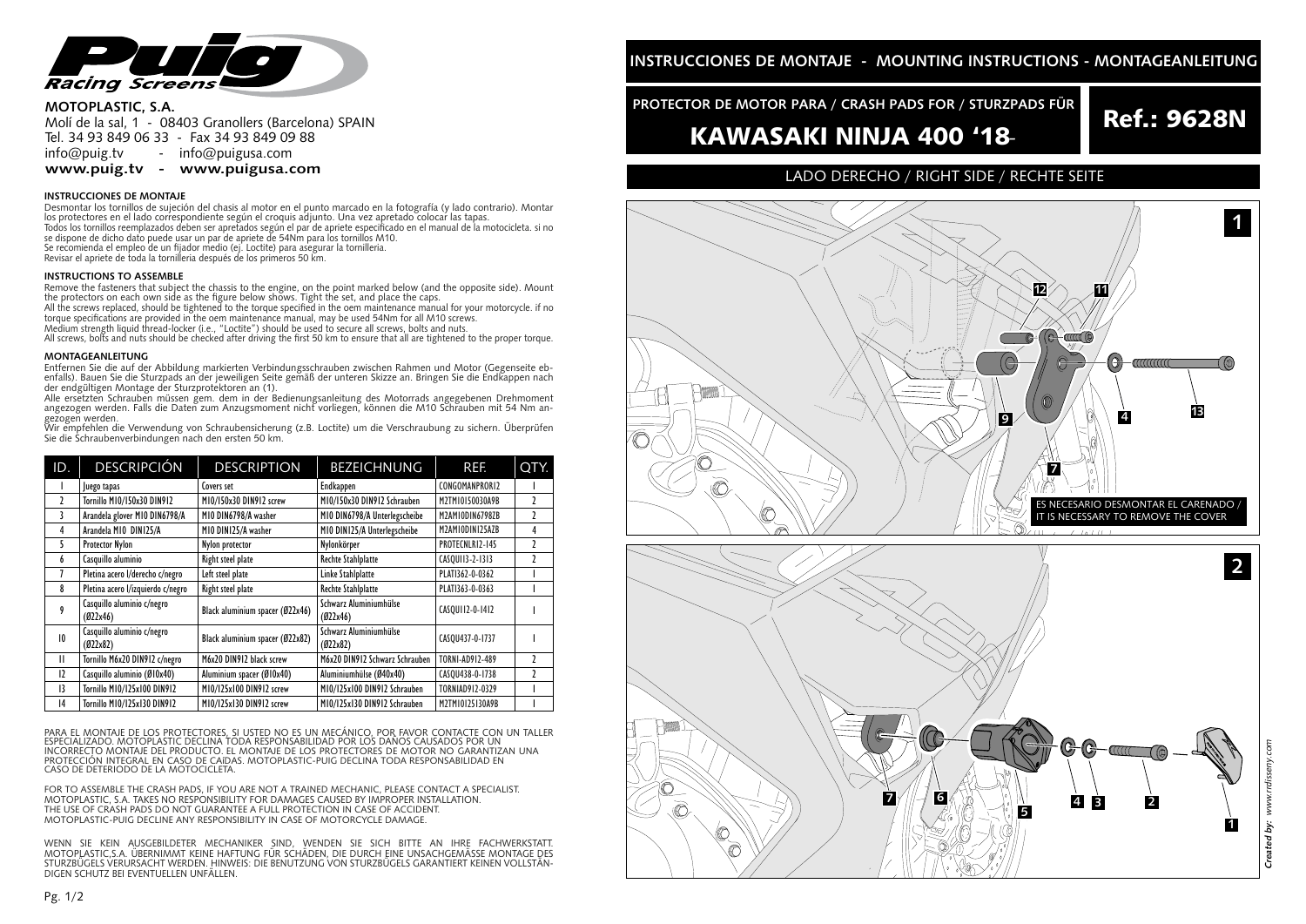

### **MOTOPLASTIC, S.A.**

Molí de la sal, 1 - 08403 Granollers (Barcelona) SPAIN Tel. 34 93 849 06 33 - Fax 34 93 849 09 88<br>info@puig.tv - info@puigusa.com info@puig.tv - info@puigusa.com<br>www.puig.tv - www.puigusa.com

**www.puis.tv** - www.puis.tv - www.puis.tv - www.puis.tv - www.puis.tv - www.puis.tv - www.puis.tv - www.puis.tv - w<br>The company of the company of the company of the company of the company of the company of the company of t

Desmontar los tornillos de sujeción del chasis al motor en el punto marcado en la fotografía (y lado contrario). Montar los protectores en el lado correspondiente según el croquis adjunto. Una vez apretado colocar las tapas. Todos los tornillos reemplazados deben ser apretados según el par de apriete especificado en el manual de la motocicleta. si no<br>se dispone de dicho dato puede usar un par de apriete de 54Nm para los tornillos M10.<br>Se recom Revisar el apriete de toda la tornilleria después de los primeros 50 km.

Remove the fasteners that subject the chassis to the engine, on the point marked below (and the opposite side). Mount<br>the protectors on each own side as the figure below shows. Tight the set, and place the caps. All the screws replaced, should be tightened to the torque specified in the oem maintenance manual for your motorcycle. if no

torque specifications are provided in the oem maintenance manual, may be used 54Nm for all M10 screws.<br>Medium strength liquid thread-locker (i.e., "Loctite") should be used to secure all screws, bolts and nuts.

All screws, bolts and nuts should be checked after driving the first 50 km to ensure that all are tightened to the proper torque.

### **MONTAGEANLEITUNG**

Entfernen Sie die auf der Abbildung markierten Verbindungsschrauben zwischen Rahmen und Motor (Gegenseite eb-<br>enfalls). Bauen Sie die Sturzpads an der jeweiligen Seite gemäß der unteren Skizze an. Bringen Sie die Endkappen der endgültigen Montage der Sturzprotektoren an (1).

Alle ersetzten Schrauben müssen gem. dem in der Bedienungsanleitung des Motorrads angegebenen Drehmoment angezogen werden. Falls die Daten zum Anzugsmoment nicht vorliegen, können die M10 Schrauben mit 54 Nm angezogen werden.

Wir empfehlen die Verwendung von Schraubensicherung (z.B. Loctite) um die Verschraubung zu sichern. Überprüfen Sie die Schraubenverbindungen nach den ersten 50 km.

| ID.           | <b>DESCRIPCIÓN</b>                     | <b>DESCRIPTION</b>              | <b>BEZEICHNUNG</b>                 | REF.                   | QTY.          |
|---------------|----------------------------------------|---------------------------------|------------------------------------|------------------------|---------------|
|               | uego tapas                             | Covers set                      | Endkappen                          | CONGOMANPRORI2         |               |
| $\mathfrak z$ | Tornillo M10/150x30 DIN912             | M10/150x30 DIN912 screw         | M10/150x30 DIN912 Schrauben        | M2TM10150030A9B        | $\mathfrak z$ |
| 3             | Arandela glover M10 DIN6798/A          | MIO DIN6798/A washer            | MIO DIN6798/A Unterlegscheibe      | M2AMIODIN6798ZB        | 1             |
| 4             | Arandela M10 DIN125/A                  | MIO DINI25/A washer             | MIO DINI25/A Unterlegscheibe       | M2AMIODINI25AZB        | 4             |
| 5             | Protector Nylon                        | Nylon protector                 | Nylonkörper                        | PROTECNLR12-145        | $\mathfrak z$ |
| 6             | Casquillo aluminio                     | Right steel plate               | <b>Rechte Stahlplatte</b>          | CASOUI13-2-1313        | 2             |
|               | Pletina acero I/derecho c/negro        | Left steel plate                | Linke Stahlplatte                  | PLATI362-0-0362        |               |
| 8             | Pletina acero l/izquierdo c/negro      | Right steel plate               | <b>Rechte Stahlplatte</b>          | PLATI363-0-0363        |               |
| 9             | Casquillo aluminio c/negro<br>(022x46) | Black aluminium spacer (Ø22x46) | Schwarz Aluminiumhülse<br>(022x46) | CASOU112-0-1412        |               |
| 10            | Casquillo aluminio c/negro<br>(022x82) | Black aluminium spacer (Ø22x82) | Schwarz Aluminiumhülse<br>(022x82) | CASQU437-0-1737        |               |
| $\mathbf{H}$  | Tornillo M6x20 DIN912 c/negro          | M6x20 DIN912 black screw        | M6x20 DIN912 Schwarz Schrauben     | TORNI-AD912-489        | $\mathfrak z$ |
| 12            | Casquillo aluminio (Ø10x40)            | Aluminium spacer (Ø10x40)       | Aluminiumhülse (Ø40x40)            | CASOU438-0-1738        | 1             |
| 13            | Tornillo M10/125x100 DIN912            | M10/125x100 DIN912 screw        | M10/125x100 DIN912 Schrauben       | <b>TORNIAD912-0329</b> |               |
| 14            | <b>Tornillo M10/125x130 DIN912</b>     | M10/125x130 DIN912 screw        | M10/125x130 DIN912 Schrauben       | M2TM10125130A9B        |               |

PARA EL MONTAJE DE LOS PROTECTORES, SI USTED NO ES UN MECÁNICO, POR FAVOR CONTACTE CON UN TALLER ESPECIALIZADO. MOTOPLASTIC DECLINA TODA RESPONSABILIDAD POR LOS DAÑOS CAUSADOS POR UN CONTRACTORES IN EXEMPLE E<br>INCORRECTO MONTAJE DEL PRODUCTO. EL MONTAJE DE LOS PROTECTORES DE MOTOR NO GARANTIZAN UNA INCORRECTO MONTAJE DEL PRODUCTO. EL MONTAJE DE LOS PROTECTORES DE MOTOR NO GARANTIZAN UNA PROTECCIÓN INTEGRAL EN CASO DE CAíDAS. MOTOPLASTIC-PUIG DECLINA TODA RESPONSABILIDAD EN CASO DE DETERIODO DE LA MOTOCICLETA.

FOR TO ASSEMBLE THE CRASH PADS, IF YOU ARE NOT A TRAINED MECHANIC, PLEASE CONTACT A SPECIALIST.<br>MOTOPLASTIC, S.A. TAKES NO RESPONSIBILITY FOR DAMAGES CAUSED BY IMPROPER INSTALLATION. THE USE OF CRASH PADS DO NOT GUARANTEE A FULL PROTECTION IN CASE OF ACCIDENT. MOTOPLASTIC-PUIG DECLINE ANY RESPONSIBILITY IN CASE OF MOTORCYCLE DAMAGE.

WENN SIE KEIN AUSGEBILDETER MECHANIKER SIND, WENDEN SIE SICH BITTE AN IHRE FACHWERKSTATT. MOTOPLASTIC,S.A. ÜBERNIMMT KEINE HAFTUNG FÜR SCHÄDEN, DIE DURCH EINE UNSACHGEMÄSSE MONTAGE DES STURZBÜGELS VERURSACHT WERDEN. HINWEIS: DIE BENUTZUNG VON STURZBÜGELS GARANTIERT KEINEN VOLLSTÄN-DIGEN SCHUTZ BEI EVENTUELLEN UNFÄLLEN.

# **PROTECTOR DE MOTOR PARA / CRASH PADS FOR / STURZPADS FÜR<br>
Ref.: 9628N**

# KAWASAKI NINJA 400 '18-

## LADO DERECHO / RIGHT SIDE / RECHTE SEITE